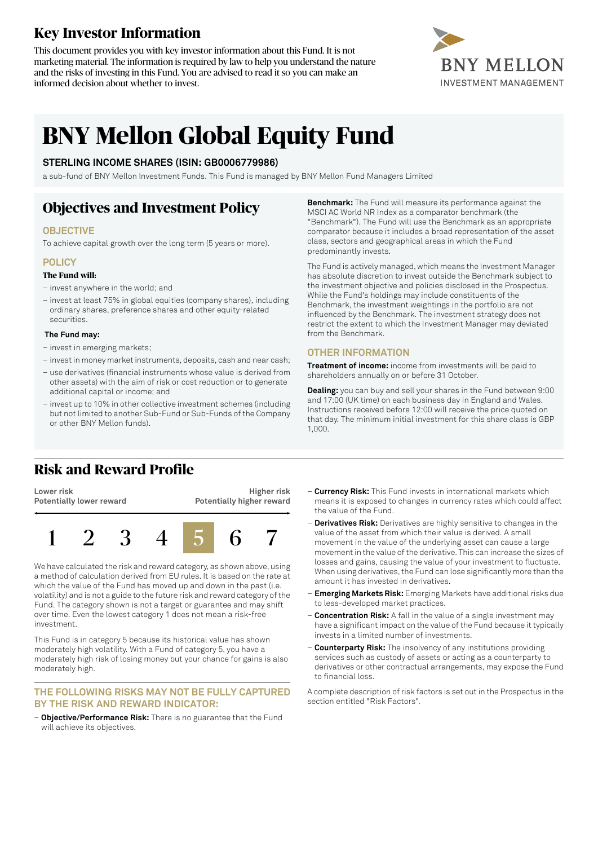# **Key Investor Information**

This document provides you with key investor information about this Fund. It is not marketing material. The information is required by law to help you understand the nature and the risks of investing in this Fund. You are advised to read it so you can make an informed decision about whether to invest.



# **BNY Mellon Global Equity Fund**

### **STERLING INCOME SHARES (ISIN: GB0006779986)**

a sub-fund of BNY Mellon Investment Funds. This Fund is managed by BNY Mellon Fund Managers Limited

# **Objectives and Investment Policy**

### **OBJECTIVE**

To achieve capital growth over the long term (5 years or more).

### **POLICY**

#### **The Fund will:**

- invest anywhere in the world; and
- invest at least 75% in global equities (company shares), including ordinary shares, preference shares and other equity-related securities.

#### **The Fund may:**

- invest in emerging markets;
- investin money marketinstruments, deposits, cash and near cash;
- use derivatives (financial instruments whose value is derived from other assets) with the aim of risk or cost reduction or to generate additional capital or income; and
- invest up to 10% in other collective investment schemes (including but not limited to another Sub-Fund or Sub-Funds of the Company or other BNY Mellon funds).

**Benchmark:** The Fund will measure its performance against the MSCI AC World NR Index as a comparator benchmark (the "Benchmark"). The Fund will use the Benchmark as an appropriate comparator because it includes a broad representation of the asset class, sectors and geographical areas in which the Fund predominantly invests.

The Fund is actively managed, which means the Investment Manager has absolute discretion to invest outside the Benchmark subject to the investment objective and policies disclosed in the Prospectus. While the Fund's holdings may include constituents of the Benchmark, the investment weightings in the portfolio are not influenced by the Benchmark. The investment strategy does not restrict the extent to which the Investment Manager may deviated from the Benchmark.

### **OTHER INFORMATION**

**Treatment of income:** income from investments will be paid to shareholders annually on or before 31 October.

**Dealing:** you can buy and sell your shares in the Fund between 9:00 and 17:00 (UK time) on each business day in England and Wales. Instructions received before 12:00 will receive the price quoted on that day. The minimum initial investment for this share class is GBP 1,000.

## **Risk and Reward Profile**

**Lower risk Potentially lower reward**

**Higher risk Potentially higher reward**



We have calculated the risk and reward category, as shown above, using a method of calculation derived from EU rules. It is based on the rate at which the value of the Fund has moved up and down in the past (i.e. volatility) and is not a guide to the future risk and reward category ofthe Fund. The category shown is not a target or guarantee and may shift over time. Even the lowest category 1 does not mean a risk-free investment.

This Fund is in category 5 because its historical value has shown moderately high volatility. With a Fund of category 5, you have a moderately high risk of losing money but your chance for gains is also moderately high.

#### **THE FOLLOWING RISKS MAY NOT BE FULLY CAPTURED BY THE RISK AND REWARD INDICATOR:**

– **Objective/Performance Risk:** There is no guarantee that the Fund will achieve its objectives.

- **Currency Risk:** This Fund invests in international markets which means it is exposed to changes in currency rates which could affect the value of the Fund.
- **Derivatives Risk:** Derivatives are highly sensitive to changes in the value of the asset from which their value is derived. A small movement in the value of the underlying asset can cause a large movement in the value of the derivative. This can increase the sizes of losses and gains, causing the value of your investment to fluctuate. When using derivatives, the Fund can lose significantly more than the amount it has invested in derivatives.
- **Emerging Markets Risk:** Emerging Markets have additional risks due to less-developed market practices.
- **Concentration Risk:** A fall in the value of a single investment may have a significant impact on the value of the Fund because it typically invests in a limited number of investments.
- **Counterparty Risk:** The insolvency of any institutions providing services such as custody of assets or acting as a counterparty to derivatives or other contractual arrangements, may expose the Fund to financial loss.

A complete description of risk factors is set out in the Prospectus in the section entitled "Risk Factors".